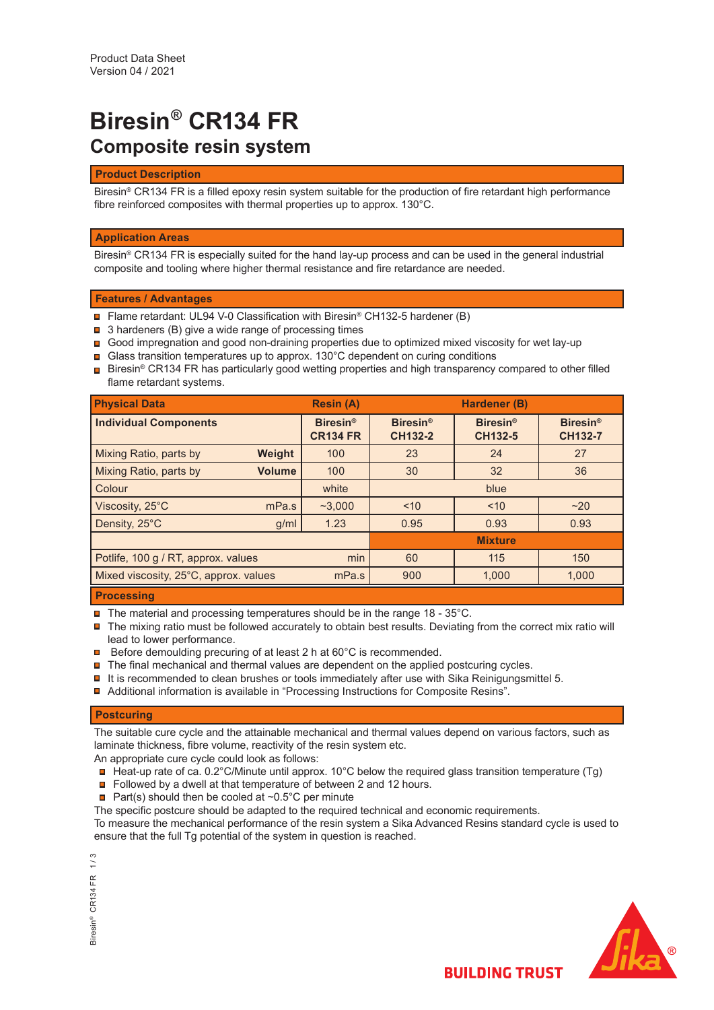# **Biresin® CR134 FR Composite resin system**

## **Product Description**

Biresin<sup>®</sup> CR134 FR is a filled epoxy resin system suitable for the production of fire retardant high performance fibre reinforced composites with thermal properties up to approx. 130°C.

## **Application Areas**

Biresin® CR134 FR is especially suited for the hand lay-up process and can be used in the general industrial composite and tooling where higher thermal resistance and fire retardance are needed.

## **Features / Advantages**

- Flame retardant: UL94 V-0 Classification with Biresin® CH132-5 hardener (B)
- **□** 3 hardeners (B) give a wide range of processing times
- Good impregnation and good non-draining properties due to optimized mixed viscosity for wet lay-up
- **■** Glass transition temperatures up to approx. 130°C dependent on curing conditions
- $\blacksquare$  Biresin® CR134 FR has particularly good wetting properties and high transparency compared to other filled flame retardant systems.

| <b>Physical Data</b>                  |               | <b>Resin (A)</b>                   |                                   | Hardener (B)               |                                   |
|---------------------------------------|---------------|------------------------------------|-----------------------------------|----------------------------|-----------------------------------|
| <b>Individual Components</b>          |               | <b>Biresin®</b><br><b>CR134 FR</b> | <b>Biresin®</b><br><b>CH132-2</b> | <b>Biresin®</b><br>CH132-5 | <b>Biresin®</b><br><b>CH132-7</b> |
| Mixing Ratio, parts by                | Weight        | 100                                | 23                                | 24                         | 27                                |
| Mixing Ratio, parts by                | <b>Volume</b> | 100                                | 30                                | 32                         | 36                                |
| Colour                                |               | white                              |                                   | blue                       |                                   |
| Viscosity, 25°C                       | mPa.s         | ~23.000                            | ~10                               | ~10                        | ~20                               |
| Density, 25°C                         | g/ml          | 1.23                               | 0.95                              | 0.93                       | 0.93                              |
|                                       |               |                                    |                                   | <b>Mixture</b>             |                                   |
| Potlife, 100 g / RT, approx. values   |               | min                                | 60                                | 115                        | 150                               |
| Mixed viscosity, 25°C, approx. values |               | mPa.s                              | 900                               | 1,000                      | 1,000                             |
|                                       |               |                                    |                                   |                            |                                   |

#### **Processing**

- $\blacksquare$  The material and processing temperatures should be in the range 18 35°C.
- The mixing ratio must be followed accurately to obtain best results. Deviating from the correct mix ratio will lead to lower performance.
- **□** Before demoulding precuring of at least 2 h at 60°C is recommended.
- $\blacksquare$  The final mechanical and thermal values are dependent on the applied postcuring cycles.
- $\blacksquare$  It is recommended to clean brushes or tools immediately after use with Sika Reinigungsmittel 5.
- Additional information is available in "Processing Instructions for Composite Resins".

# **Postcuring**

The suitable cure cycle and the attainable mechanical and thermal values depend on various factors, such as laminate thickness, fibre volume, reactivity of the resin system etc.

An appropriate cure cycle could look as follows:

- $\Box$  Heat-up rate of ca. 0.2°C/Minute until approx. 10°C below the required glass transition temperature (Tg)
- Followed by a dwell at that temperature of between 2 and 12 hours.
- **Part(s)** should then be cooled at  $\sim 0.5^{\circ}$ C per minute
- The specific postcure should be adapted to the required technical and economic requirements.

To measure the mechanical performance of the resin system a Sika Advanced Resins standard cycle is used to ensure that the full Tg potential of the system in question is reached.

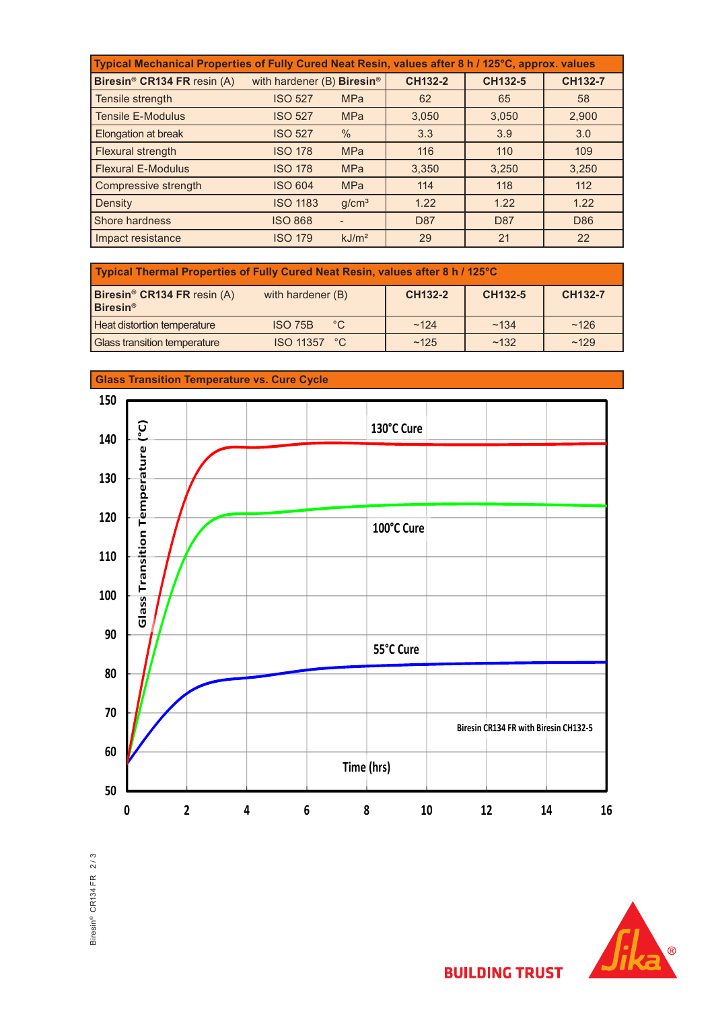| Typical Mechanical Properties of Fully Cured Neat Resin, values after 8 h / 125°C, approx. values |                                          |                   |                 |         |                |
|---------------------------------------------------------------------------------------------------|------------------------------------------|-------------------|-----------------|---------|----------------|
| Biresin <sup>®</sup> CR134 FR resin (A)                                                           | with hardener $(B)$ Biresin <sup>®</sup> |                   | <b>CH132-2</b>  | CH132-5 | <b>CH132-7</b> |
| Tensile strength                                                                                  | <b>ISO 527</b>                           | <b>MPa</b>        | 62              | 65      | 58             |
| <b>Tensile E-Modulus</b>                                                                          | <b>ISO 527</b>                           | <b>MPa</b>        | 3,050           | 3,050   | 2,900          |
| Elongation at break                                                                               | <b>ISO 527</b>                           | $\%$              | 3.3             | 3.9     | 3.0            |
| Flexural strength                                                                                 | <b>ISO 178</b>                           | <b>MPa</b>        | 116             | 110     | 109            |
| <b>Flexural E-Modulus</b>                                                                         | <b>ISO 178</b>                           | <b>MPa</b>        | 3.350           | 3,250   | 3,250          |
| Compressive strength                                                                              | <b>ISO 604</b>                           | <b>MPa</b>        | 114             | 118     | 112            |
| Density                                                                                           | <b>ISO 1183</b>                          | q/cm <sup>3</sup> | 1.22            | 1.22    | 1.22           |
| Shore hardness                                                                                    | <b>ISO 868</b>                           |                   | D <sub>87</sub> | D87     | D86            |
| Impact resistance                                                                                 | <b>ISO 179</b>                           | kJ/m <sup>2</sup> | 29              | 21      | 22             |

| Typical Thermal Properties of Fully Cured Neat Resin, values after 8 h / 125°C |                                |                |         |                |  |
|--------------------------------------------------------------------------------|--------------------------------|----------------|---------|----------------|--|
| Biresin <sup>®</sup> CR134 FR resin (A)<br>Biresin <sup>®</sup>                | with hardener (B)              | <b>CH132-2</b> | CH132-5 | <b>CH132-7</b> |  |
| Heat distortion temperature                                                    | $^{\circ}$ C<br><b>ISO 75B</b> | ~124           | ~134    | ~126           |  |
| Glass transition temperature                                                   | <b>ISO 11357 °C</b>            | ~125           | ~132    | ~129           |  |



**Glass Transition Temperature vs. Cure Cycle**

Biresin® CR134 FR 2/3 Biresin® CR134 FR 2 / 3



**BUILDING TRUST**